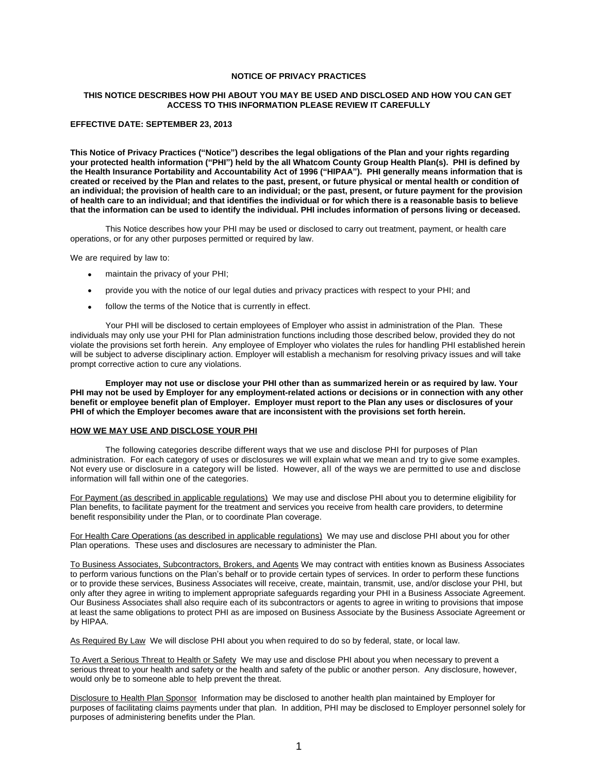### **NOTICE OF PRIVACY PRACTICES**

### **THIS NOTICE DESCRIBES HOW PHI ABOUT YOU MAY BE USED AND DISCLOSED AND HOW YOU CAN GET ACCESS TO THIS INFORMATION PLEASE REVIEW IT CAREFULLY**

## **EFFECTIVE DATE: SEPTEMBER 23, 2013**

**This Notice of Privacy Practices ("Notice") describes the legal obligations of the Plan and your rights regarding your protected health information ("PHI") held by the all Whatcom County Group Health Plan(s). PHI is defined by the Health Insurance Portability and Accountability Act of 1996 ("HIPAA"). PHI generally means information that is created or received by the Plan and relates to the past, present, or future physical or mental health or condition of an individual; the provision of health care to an individual; or the past, present, or future payment for the provision of health care to an individual; and that identifies the individual or for which there is a reasonable basis to believe that the information can be used to identify the individual. PHI includes information of persons living or deceased.**

This Notice describes how your PHI may be used or disclosed to carry out treatment, payment, or health care operations, or for any other purposes permitted or required by law.

We are required by law to:

- maintain the privacy of your PHI;
- provide you with the notice of our legal duties and privacy practices with respect to your PHI; and
- follow the terms of the Notice that is currently in effect.

Your PHI will be disclosed to certain employees of Employer who assist in administration of the Plan. These individuals may only use your PHI for Plan administration functions including those described below, provided they do not violate the provisions set forth herein. Any employee of Employer who violates the rules for handling PHI established herein will be subject to adverse disciplinary action. Employer will establish a mechanism for resolving privacy issues and will take prompt corrective action to cure any violations.

**Employer may not use or disclose your PHI other than as summarized herein or as required by law. Your PHI may not be used by Employer for any employment-related actions or decisions or in connection with any other benefit or employee benefit plan of Employer. Employer must report to the Plan any uses or disclosures of your PHI of which the Employer becomes aware that are inconsistent with the provisions set forth herein.**

## **HOW WE MAY USE AND DISCLOSE YOUR PHI**

The following categories describe different ways that we use and disclose PHI for purposes of Plan administration. For each category of uses or disclosures we will explain what we mean and try to give some examples. Not every use or disclosure in a category will be listed. However, all of the ways we are permitted to use and disclose information will fall within one of the categories.

For Payment (as described in applicable regulations) We may use and disclose PHI about you to determine eligibility for Plan benefits, to facilitate payment for the treatment and services you receive from health care providers, to determine benefit responsibility under the Plan, or to coordinate Plan coverage.

For Health Care Operations (as described in applicable regulations) We may use and disclose PHI about you for other Plan operations. These uses and disclosures are necessary to administer the Plan.

To Business Associates, Subcontractors, Brokers, and Agents We may contract with entities known as Business Associates to perform various functions on the Plan's behalf or to provide certain types of services. In order to perform these functions or to provide these services, Business Associates will receive, create, maintain, transmit, use, and/or disclose your PHI, but only after they agree in writing to implement appropriate safeguards regarding your PHI in a Business Associate Agreement. Our Business Associates shall also require each of its subcontractors or agents to agree in writing to provisions that impose at least the same obligations to protect PHI as are imposed on Business Associate by the Business Associate Agreement or by HIPAA.

As Required By Law We will disclose PHI about you when required to do so by federal, state, or local law.

To Avert a Serious Threat to Health or Safety We may use and disclose PHI about you when necessary to prevent a serious threat to your health and safety or the health and safety of the public or another person. Any disclosure, however, would only be to someone able to help prevent the threat.

Disclosure to Health Plan Sponsor Information may be disclosed to another health plan maintained by Employer for purposes of facilitating claims payments under that plan. In addition, PHI may be disclosed to Employer personnel solely for purposes of administering benefits under the Plan.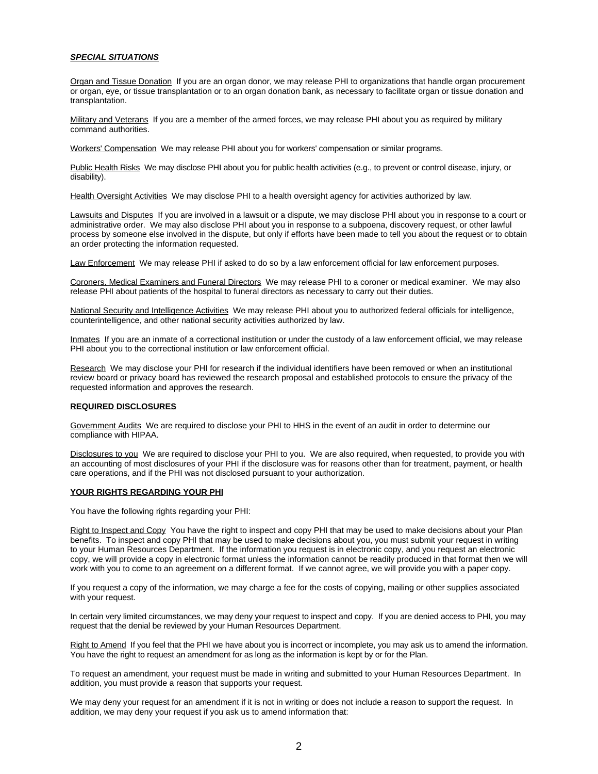## *SPECIAL SITUATIONS*

Organ and Tissue Donation If you are an organ donor, we may release PHI to organizations that handle organ procurement or organ, eye, or tissue transplantation or to an organ donation bank, as necessary to facilitate organ or tissue donation and transplantation.

Military and Veterans If you are a member of the armed forces, we may release PHI about you as required by military command authorities.

Workers' Compensation We may release PHI about you for workers' compensation or similar programs.

Public Health Risks We may disclose PHI about you for public health activities (e.g., to prevent or control disease, injury, or disability).

Health Oversight Activities We may disclose PHI to a health oversight agency for activities authorized by law.

Lawsuits and Disputes If you are involved in a lawsuit or a dispute, we may disclose PHI about you in response to a court or administrative order. We may also disclose PHI about you in response to a subpoena, discovery request, or other lawful process by someone else involved in the dispute, but only if efforts have been made to tell you about the request or to obtain an order protecting the information requested.

Law Enforcement We may release PHI if asked to do so by a law enforcement official for law enforcement purposes.

Coroners, Medical Examiners and Funeral Directors We may release PHI to a coroner or medical examiner. We may also release PHI about patients of the hospital to funeral directors as necessary to carry out their duties.

National Security and Intelligence Activities We may release PHI about you to authorized federal officials for intelligence, counterintelligence, and other national security activities authorized by law.

Inmates If you are an inmate of a correctional institution or under the custody of a law enforcement official, we may release PHI about you to the correctional institution or law enforcement official.

Research We may disclose your PHI for research if the individual identifiers have been removed or when an institutional review board or privacy board has reviewed the research proposal and established protocols to ensure the privacy of the requested information and approves the research.

# **REQUIRED DISCLOSURES**

Government Audits We are required to disclose your PHI to HHS in the event of an audit in order to determine our compliance with HIPAA.

Disclosures to you We are required to disclose your PHI to you. We are also required, when requested, to provide you with an accounting of most disclosures of your PHI if the disclosure was for reasons other than for treatment, payment, or health care operations, and if the PHI was not disclosed pursuant to your authorization.

#### **YOUR RIGHTS REGARDING YOUR PHI**

You have the following rights regarding your PHI:

Right to Inspect and Copy You have the right to inspect and copy PHI that may be used to make decisions about your Plan benefits. To inspect and copy PHI that may be used to make decisions about you, you must submit your request in writing to your Human Resources Department. If the information you request is in electronic copy, and you request an electronic copy, we will provide a copy in electronic format unless the information cannot be readily produced in that format then we will work with you to come to an agreement on a different format. If we cannot agree, we will provide you with a paper copy.

If you request a copy of the information, we may charge a fee for the costs of copying, mailing or other supplies associated with your request.

In certain very limited circumstances, we may deny your request to inspect and copy. If you are denied access to PHI, you may request that the denial be reviewed by your Human Resources Department.

Right to Amend If you feel that the PHI we have about you is incorrect or incomplete, you may ask us to amend the information. You have the right to request an amendment for as long as the information is kept by or for the Plan.

To request an amendment, your request must be made in writing and submitted to your Human Resources Department. In addition, you must provide a reason that supports your request.

We may deny your request for an amendment if it is not in writing or does not include a reason to support the request. In addition, we may deny your request if you ask us to amend information that: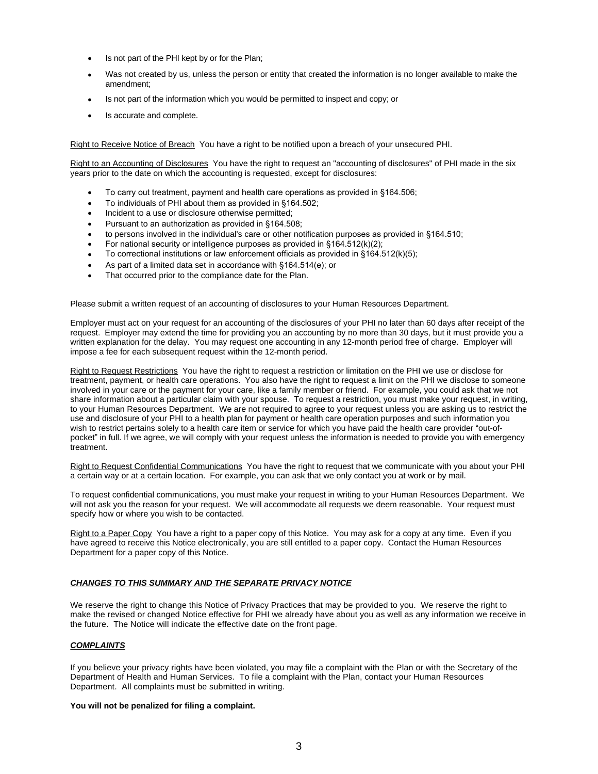- Is not part of the PHI kept by or for the Plan;
- Was not created by us, unless the person or entity that created the information is no longer available to make the amendment;
- Is not part of the information which you would be permitted to inspect and copy; or
- Is accurate and complete.

Right to Receive Notice of Breach You have a right to be notified upon a breach of your unsecured PHI.

Right to an Accounting of Disclosures You have the right to request an "accounting of disclosures" of PHI made in the six years prior to the date on which the accounting is requested, except for disclosures:

- To carry out treatment, payment and health care operations as provided in §164.506;
- To individuals of PHI about them as provided in §164.502;
- Incident to a use or disclosure otherwise permitted;
- Pursuant to an authorization as provided in §164.508;
- to persons involved in the individual's care or other notification purposes as provided in §164.510;
- For national security or intelligence purposes as provided in §164.512(k)(2);
- To correctional institutions or law enforcement officials as provided in §164.512(k)(5);
- As part of a limited data set in accordance with §164.514(e); or
- That occurred prior to the compliance date for the Plan.

Please submit a written request of an accounting of disclosures to your Human Resources Department.

Employer must act on your request for an accounting of the disclosures of your PHI no later than 60 days after receipt of the request. Employer may extend the time for providing you an accounting by no more than 30 days, but it must provide you a written explanation for the delay. You may request one accounting in any 12-month period free of charge. Employer will impose a fee for each subsequent request within the 12-month period.

Right to Request Restrictions You have the right to request a restriction or limitation on the PHI we use or disclose for treatment, payment, or health care operations. You also have the right to request a limit on the PHI we disclose to someone involved in your care or the payment for your care, like a family member or friend. For example, you could ask that we not share information about a particular claim with your spouse. To request a restriction, you must make your request, in writing, to your Human Resources Department. We are not required to agree to your request unless you are asking us to restrict the use and disclosure of your PHI to a health plan for payment or health care operation purposes and such information you wish to restrict pertains solely to a health care item or service for which you have paid the health care provider "out-ofpocket" in full. If we agree, we will comply with your request unless the information is needed to provide you with emergency treatment.

Right to Request Confidential Communications You have the right to request that we communicate with you about your PHI a certain way or at a certain location. For example, you can ask that we only contact you at work or by mail.

To request confidential communications, you must make your request in writing to your Human Resources Department. We will not ask you the reason for your request. We will accommodate all requests we deem reasonable. Your request must specify how or where you wish to be contacted.

Right to a Paper Copy You have a right to a paper copy of this Notice. You may ask for a copy at any time. Even if you have agreed to receive this Notice electronically, you are still entitled to a paper copy. Contact the Human Resources Department for a paper copy of this Notice.

## *CHANGES TO THIS SUMMARY AND THE SEPARATE PRIVACY NOTICE*

We reserve the right to change this Notice of Privacy Practices that may be provided to you. We reserve the right to make the revised or changed Notice effective for PHI we already have about you as well as any information we receive in the future. The Notice will indicate the effective date on the front page.

# *COMPLAINTS*

If you believe your privacy rights have been violated, you may file a complaint with the Plan or with the Secretary of the Department of Health and Human Services. To file a complaint with the Plan, contact your Human Resources Department. All complaints must be submitted in writing.

## **You will not be penalized for filing a complaint.**